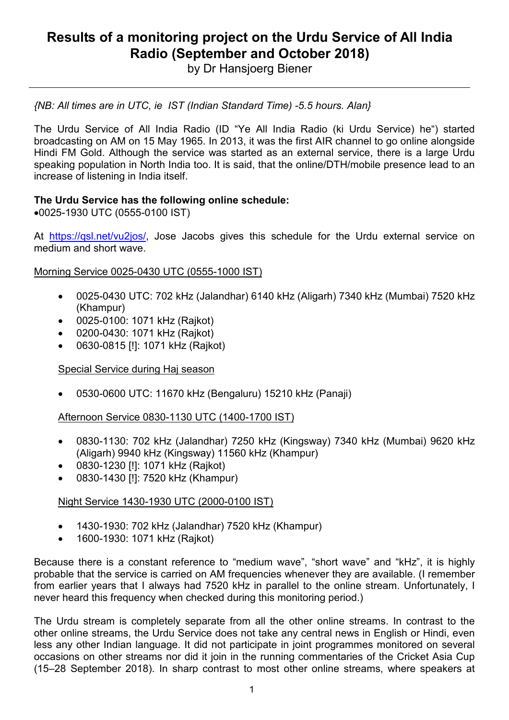# **Results of a monitoring project on the Urdu Service of All India Radio (September and October 2018)**

by Dr Hansjoerg Biener

*{NB: All times are in UTC, ie IST (Indian Standard Time) -5.5 hours. Alan}* 

The Urdu Service of All India Radio (ID "Ye All India Radio (ki Urdu Service) he") started broadcasting on AM on 15 May 1965. In 2013, it was the first AIR channel to go online alongside Hindi FM Gold. Although the service was started as an external service, there is a large Urdu speaking population in North India too. It is said, that the online/DTH/mobile presence lead to an increase of listening in India itself.

#### **The Urdu Service has the following online schedule:**

• 0025-1930 UTC (0555-0100 IST)

At https://qsl.net/vu2jos/, Jose Jacobs gives this schedule for the Urdu external service on medium and short wave.

#### Morning Service 0025-0430 UTC (0555-1000 IST)

- 0025-0430 UTC: 702 kHz (Jalandhar) 6140 kHz (Aligarh) 7340 kHz (Mumbai) 7520 kHz (Khampur)
- 0025-0100: 1071 kHz (Rajkot)
- 0200-0430: 1071 kHz (Rajkot)
- 0630-0815 [!]: 1071 kHz (Rajkot)

Special Service during Haj season

• 0530-0600 UTC: 11670 kHz (Bengaluru) 15210 kHz (Panaji)

Afternoon Service 0830-1130 UTC (1400-1700 IST)

- 0830-1130: 702 kHz (Jalandhar) 7250 kHz (Kingsway) 7340 kHz (Mumbai) 9620 kHz (Aligarh) 9940 kHz (Kingsway) 11560 kHz (Khampur)
- 0830-1230 [!]: 1071 kHz (Rajkot)
- 0830-1430 [!]: 7520 kHz (Khampur)

## Night Service 1430-1930 UTC (2000-0100 IST)

- 1430-1930: 702 kHz (Jalandhar) 7520 kHz (Khampur)
- 1600-1930: 1071 kHz (Rajkot)

Because there is a constant reference to "medium wave", "short wave" and "kHz", it is highly probable that the service is carried on AM frequencies whenever they are available. (I remember from earlier years that I always had 7520 kHz in parallel to the online stream. Unfortunately, I never heard this frequency when checked during this monitoring period.)

The Urdu stream is completely separate from all the other online streams. In contrast to the other online streams, the Urdu Service does not take any central news in English or Hindi, even less any other Indian language. It did not participate in joint programmes monitored on several occasions on other streams nor did it join in the running commentaries of the Cricket Asia Cup (15–28 September 2018). In sharp contrast to most other online streams, where speakers at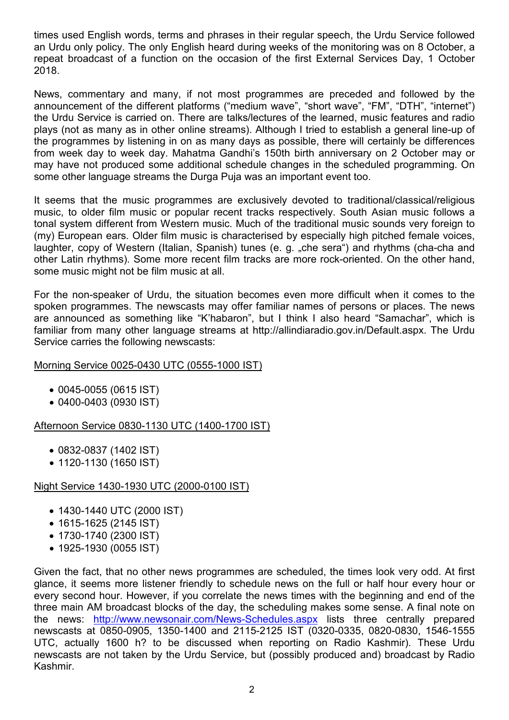times used English words, terms and phrases in their regular speech, the Urdu Service followed an Urdu only policy. The only English heard during weeks of the monitoring was on 8 October, a repeat broadcast of a function on the occasion of the first External Services Day, 1 October 2018.

News, commentary and many, if not most programmes are preceded and followed by the announcement of the different platforms ("medium wave", "short wave", "FM", "DTH", "internet") the Urdu Service is carried on. There are talks/lectures of the learned, music features and radio plays (not as many as in other online streams). Although I tried to establish a general line-up of the programmes by listening in on as many days as possible, there will certainly be differences from week day to week day. Mahatma Gandhi's 150th birth anniversary on 2 October may or may have not produced some additional schedule changes in the scheduled programming. On some other language streams the Durga Puja was an important event too.

It seems that the music programmes are exclusively devoted to traditional/classical/religious music, to older film music or popular recent tracks respectively. South Asian music follows a tonal system different from Western music. Much of the traditional music sounds very foreign to (my) European ears. Older film music is characterised by especially high pitched female voices, laughter, copy of Western (Italian, Spanish) tunes (e. g. "che sera") and rhythms (cha-cha and other Latin rhythms). Some more recent film tracks are more rock-oriented. On the other hand, some music might not be film music at all.

For the non-speaker of Urdu, the situation becomes even more difficult when it comes to the spoken programmes. The newscasts may offer familiar names of persons or places. The news are announced as something like "K'habaron", but I think I also heard "Samachar", which is familiar from many other language streams at http://allindiaradio.gov.in/Default.aspx. The Urdu Service carries the following newscasts:

#### Morning Service 0025-0430 UTC (0555-1000 IST)

- 0045-0055 (0615 IST)
- 0400-0403 (0930 IST)

## Afternoon Service 0830-1130 UTC (1400-1700 IST)

- 0832-0837 (1402 IST)
- 1120-1130 (1650 IST)

## Night Service 1430-1930 UTC (2000-0100 IST)

- 1430-1440 UTC (2000 IST)
- 1615-1625 (2145 IST)
- 1730-1740 (2300 IST)
- 1925-1930 (0055 IST)

Given the fact, that no other news programmes are scheduled, the times look very odd. At first glance, it seems more listener friendly to schedule news on the full or half hour every hour or every second hour. However, if you correlate the news times with the beginning and end of the three main AM broadcast blocks of the day, the scheduling makes some sense. A final note on the news: http://www.newsonair.com/News-Schedules.aspx lists three centrally prepared newscasts at 0850-0905, 1350-1400 and 2115-2125 IST (0320-0335, 0820-0830, 1546-1555 UTC, actually 1600 h? to be discussed when reporting on Radio Kashmir). These Urdu newscasts are not taken by the Urdu Service, but (possibly produced and) broadcast by Radio Kashmir.